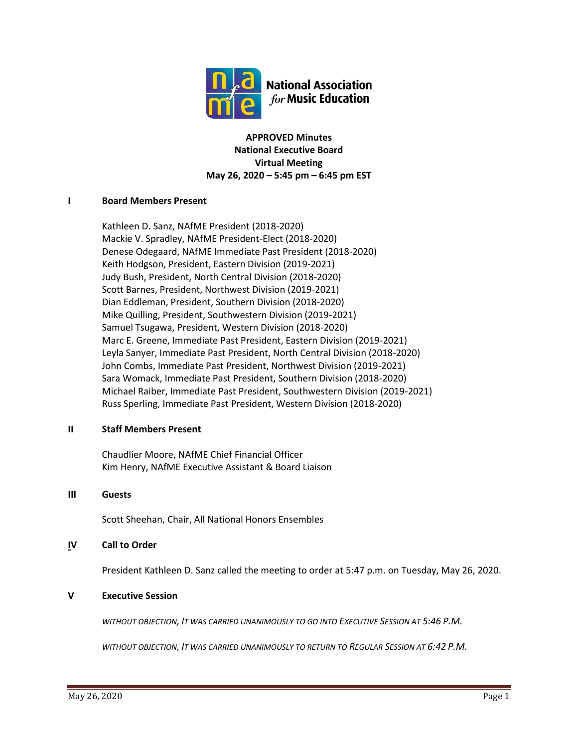

**APPROVED Minutes National Executive Board Virtual Meeting May 26, 2020 – 5:45 pm – 6:45 pm EST**

# **I Board Members Present**

Kathleen D. Sanz, NAfME President (2018-2020) Mackie V. Spradley, NAfME President-Elect (2018-2020) Denese Odegaard, NAfME Immediate Past President (2018-2020) Keith Hodgson, President, Eastern Division (2019-2021) Judy Bush, President, North Central Division (2018-2020) Scott Barnes, President, Northwest Division (2019-2021) Dian Eddleman, President, Southern Division (2018-2020) Mike Quilling, President, Southwestern Division (2019-2021) Samuel Tsugawa, President, Western Division (2018-2020) Marc E. Greene, Immediate Past President, Eastern Division (2019-2021) Leyla Sanyer, Immediate Past President, North Central Division (2018-2020) John Combs, Immediate Past President, Northwest Division (2019-2021) Sara Womack, Immediate Past President, Southern Division (2018-2020) Michael Raiber, Immediate Past President, Southwestern Division (2019-2021) Russ Sperling, Immediate Past President, Western Division (2018-2020)

### **II Staff Members Present**

Chaudlier Moore, NAfME Chief Financial Officer Kim Henry, NAfME Executive Assistant & Board Liaison

### **III Guests**

Scott Sheehan, Chair, All National Honors Ensembles

# **IV Call to Order**

President Kathleen D. Sanz called the meeting to order at 5:47 p.m. on Tuesday, May 26, 2020.

# **V Executive Session**

*WITHOUT OBJECTION, IT WAS CARRIED UNANIMOUSLY TO GO INTO EXECUTIVE SESSION AT 5:46 P.M.*

*WITHOUT OBJECTION, IT WAS CARRIED UNANIMOUSLY TO RETURN TO REGULAR SESSION AT 6:42 P.M.*